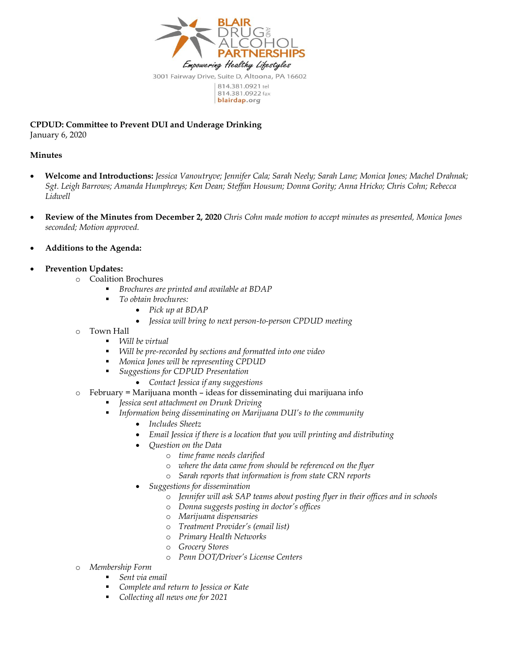

814.381.0922 fax blairdap.org

**CPDUD: Committee to Prevent DUI and Underage Drinking** January 6, 2020

## **Minutes**

- **Welcome and Introductions:** *Jessica Vanoutryve; Jennifer Cala; Sarah Neely; Sarah Lane; Monica Jones; Machel Drahnak; Sgt. Leigh Barrows; Amanda Humphreys; Ken Dean; Steffan Housum; Donna Gority; Anna Hricko; Chris Cohn; Rebecca Lidwell*
- **Review of the Minutes from December 2, 2020** *Chris Cohn made motion to accept minutes as presented, Monica Jones seconded; Motion approved.*
- **Additions to the Agenda:**
- **Prevention Updates:**
	- o Coalition Brochures
		- *Brochures are printed and available at BDAP*
		- *To obtain brochures:*
			- *Pick up at BDAP*
			- *Jessica will bring to next person-to-person CPDUD meeting*
	- o Town Hall
		- *Will be virtual*
		- *Will be pre-recorded by sections and formatted into one video*
		- *Monica Jones will be representing CPDUD*
		- *Suggestions for CDPUD Presentation*
			- *Contact Jessica if any suggestions*
	- o February = Marijuana month ideas for disseminating dui marijuana info
		- *Jessica sent attachment on Drunk Driving*
		- *Information being disseminating on Marijuana DUI's to the community*
			- *Includes Sheetz*
			- *Email Jessica if there is a location that you will printing and distributing*
			- *Question on the Data* 
				- o *time frame needs clarified*
				- o *where the data came from should be referenced on the flyer*
				- o *Sarah reports that information is from state CRN reports*
			- *Suggestions for dissemination* 
				- o *Jennifer will ask SAP teams about posting flyer in their offices and in schools*
				- o *Donna suggests posting in doctor's offices*
				- o *Marijuana dispensaries*
				- o *Treatment Provider's (email list)*
				- o *Primary Health Networks*
				- o *Grocery Stores*
				- o *Penn DOT/Driver's License Centers*
	- o *Membership Form*
		- *Sent via email*
		- *Complete and return to Jessica or Kate*
		- *Collecting all news one for 2021*